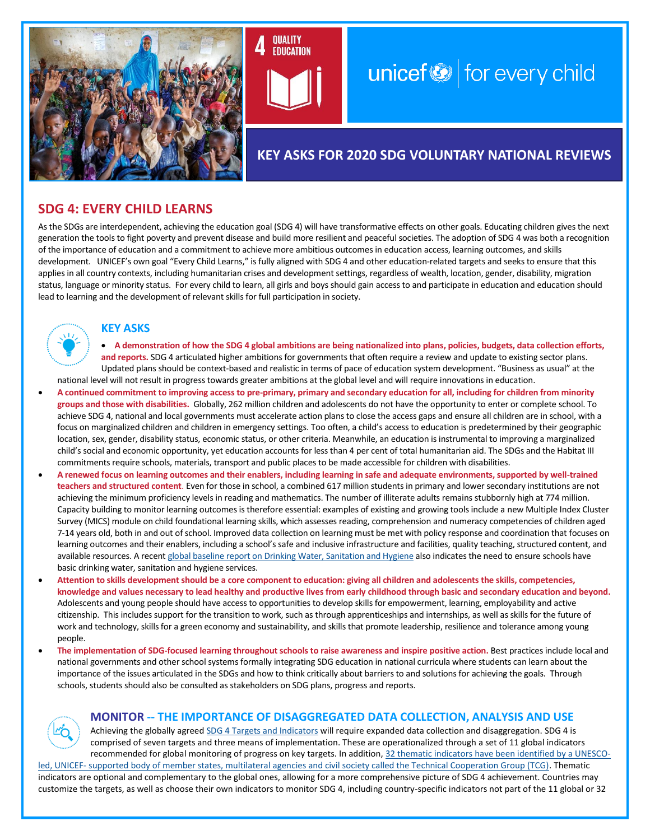



# $unicef \otimes$  for every child

## **KEY ASKS FOR 2020 SDG VOLUNTARY NATIONAL REVIEWS**

### **SDG 4: EVERY CHILD LEARNS**

As the SDGs are interdependent, achieving the education goal (SDG 4) will have transformative effects on other goals. Educating children gives the next generation the tools to fight poverty and prevent disease and build more resilient and peaceful societies. The adoption of SDG 4 was both a recognition of the importance of education and a commitment to achieve more ambitious outcomes in education access, learning outcomes, and skills development. UNICEF's own goal "Every Child Learns," is fully aligned with SDG 4 and other education-related targets and seeks to ensure that this applies in all country contexts, including humanitarian crises and development settings, regardless of wealth, location, gender, disability, migration status, language or minority status. For every child to learn, all girls and boys should gain access to and participate in education and education should lead to learning and the development of relevant skills for full participation in society.

#### **KEY ASKS**

- **A demonstration of how the SDG 4 global ambitions are being nationalized into plans, policies, budgets, data collection efforts, and reports.** SDG 4 articulated higher ambitions for governments that often require a review and update to existing sector plans. Updated plans should be context-based and realistic in terms of pace of education system development. "Business as usual" at the national level will not result in progress towards greater ambitions at the global level and will require innovations in education.
- **A continued commitment to improving access to pre-primary, primary and secondary education for all, including for children from minority groups and those with disabilities.** Globally, 262 million children and adolescents do not have the opportunity to enter or complete school. To achieve SDG 4, national and local governments must accelerate action plans to close the access gaps and ensure all children are in school, with a focus on marginalized children and children in emergency settings. Too often, a child's access to education is predetermined by their geographic location, sex, gender, disability status, economic status, or other criteria. Meanwhile, an education is instrumental to improving a marginalized child's social and economic opportunity, yet education accounts for less than 4 per cent of total humanitarian aid. The SDGs and the Habitat III commitments require schools, materials, transport and public places to be made accessible for children with disabilities.
- **A renewed focus on learning outcomes and their enablers, including learning in safe and adequate environments, supported by well-trained teachers and structured content**. Even for those in school, a combined 617 million students in primary and lower secondary institutions are not achieving the minimum proficiency levels in reading and mathematics. The number of illiterate adults remains stubbornly high at 774 million. Capacity building to monitor learning outcomes is therefore essential: examples of existing and growing tools include a new Multiple Index Cluster Survey (MICS) module on child foundational learning skills, which assesses reading, comprehension and numeracy competencies of children aged 7-14 years old, both in and out of school. Improved data collection on learning must be met with policy response and coordination that focuses on learning outcomes and their enablers, including a school's safe and inclusive infrastructure and facilities, quality teaching, structured content, and available resources. A recen[t global baseline report on Drinking Water, Sanitation and Hygiene](https://washdata.org/sites/default/files/documents/reports/2018-08/JMP%20WASH%20in%20Schools%20WEB.pdf) also indicates the need to ensure schools have basic drinking water, sanitation and hygiene services.
- **Attention to skills development should be a core component to education: giving all children and adolescents the skills, competencies, knowledge and values necessary to lead healthy and productive lives from early childhood through basic and secondary education and beyond.** Adolescents and young people should have access to opportunities to develop skills for empowerment, learning, employability and active citizenship. This includes support for the transition to work, such as through apprenticeships and internships, as well as skills for the future of work and technology, skills for a green economy and sustainability, and skills that promote leadership, resilience and tolerance among young people.
- **The implementation of SDG-focused learning throughout schools to raise awareness and inspire positive action.** Best practices include local and national governments and other school systems formally integrating SDG education in national curricula where students can learn about the importance of the issues articulated in the SDGs and how to think critically about barriers to and solutions for achieving the goals. Through schools, students should also be consulted as stakeholders on SDG plans, progress and reports.

#### **MONITOR -- THE IMPORTANCE OF DISAGGREGATED DATA COLLECTION, ANALYSIS AND USE**

Achieving the globally agree[d SDG 4 Targets and Indicators](https://sustainabledevelopment.un.org/sdg4) will require expanded data collection and disaggregation. SDG 4 is comprised of seven targets and three means of implementation. These are operationalized through a set of 11 global indicators recommended for global monitoring of progress on key targets. In addition[, 32 thematic indicators have been identified by a UNESCO](http://tcg.uis.unesco.org/)led, UNICEF- [supported body of member states, multilateral agencies and civil society called the Technical Cooperation Group \(TCG\).](http://tcg.uis.unesco.org/) Thematic

indicators are optional and complementary to the global ones, allowing for a more comprehensive picture of SDG 4 achievement. Countries may customize the targets, as well as choose their own indicators to monitor SDG 4, including country-specific indicators not part of the 11 global or 32